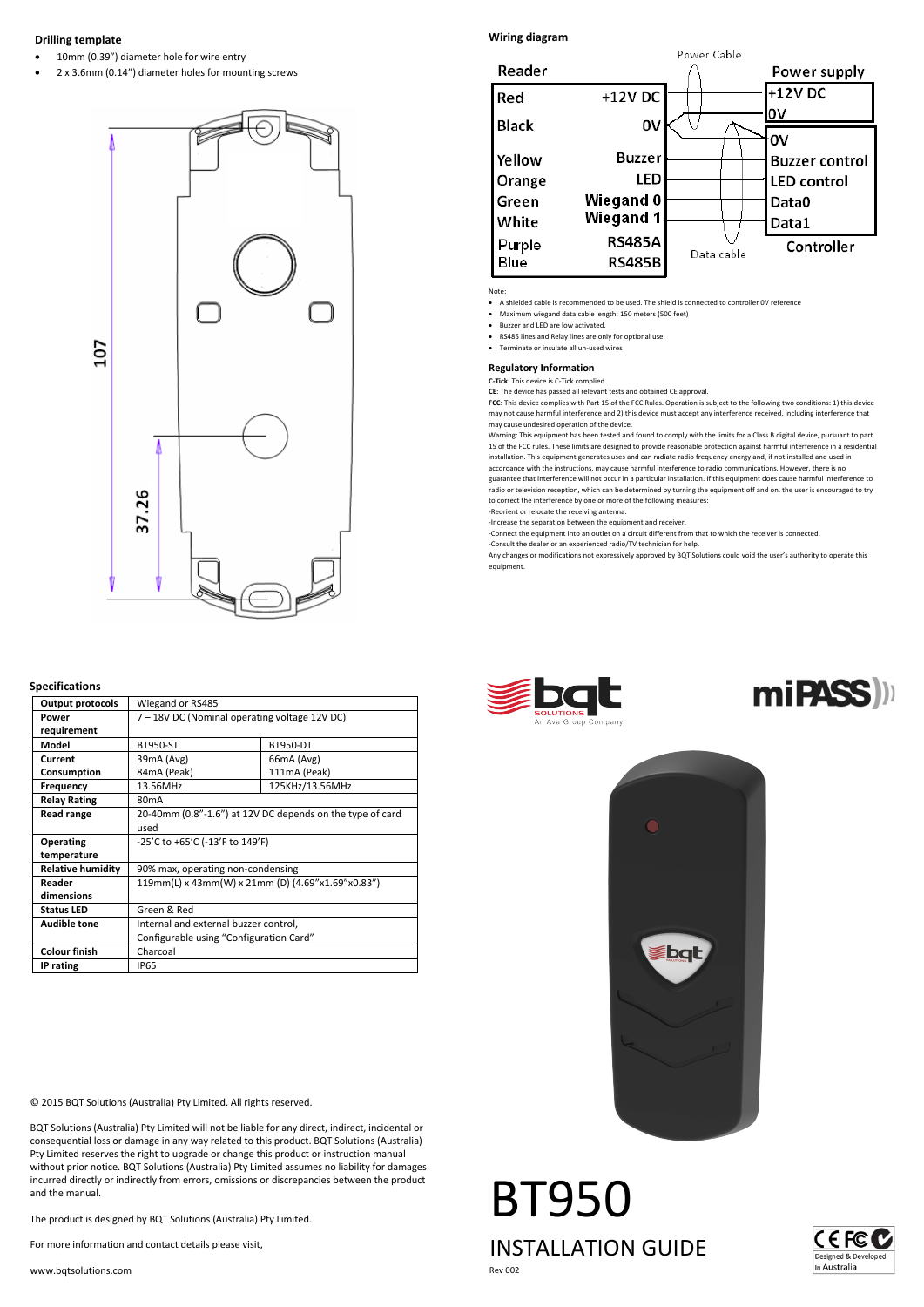# **Drilling template**

- 10mm (0.39") diameter hole for wire entry
- 2 x 3.6mm (0.14") diameter holes for mounting screws



# **Specifications**

| <b>Output protocols</b>  | Wiegand or RS485                                                  |                 |                 |
|--------------------------|-------------------------------------------------------------------|-----------------|-----------------|
| Power<br>requirement     | 7 - 18V DC (Nominal operating voltage 12V DC)                     |                 |                 |
| Model                    | <b>BT950</b>                                                      | <b>BT957</b>    | BT952           |
| Current                  | 39mA (Avg)                                                        | 66mA (Avg)      | 66mA (Avg)      |
| Consumption              | 84mA (Peak)                                                       | 111mA (Peak)    | 10hA (Peak)     |
| Frequency                | 13.56MHz                                                          | 125Hz&/13.56MHz | 125酬zW/13.56MHz |
| <b>Relay Rating</b>      | 80 <sub>m</sub> A                                                 |                 |                 |
| <b>Read range</b>        | 20-40mm (0.8"-1.6") at 12V DC depends on the type of card<br>used |                 |                 |
| Operating<br>temperature | -25'C to +65'C (-13'F to 149'F)                                   |                 |                 |
| <b>Relative humidity</b> | 90% max, operating non-condensing                                 |                 |                 |
| Reader<br>dimensions     | 119mm(L) x 43mm(W) x 21mm (D) (4.69"x1.69"x0.83")                 |                 |                 |
| <b>Status LED</b>        | Green & Red                                                       |                 |                 |
| <b>Audible tone</b>      | Internal and external buzzer control                              |                 |                 |
| <b>Colour finish</b>     | Charcoal                                                          |                 |                 |
| IP rating                | <b>IP65</b>                                                       |                 |                 |

© 2015 BQT Solutions (Australia) Pty Limited. All rights reserved.

BQT Solutions (Australia) Pty Limited will not be liable for any direct, indirect, incidental or consequential loss or damage in any way related to this product. BQT Solutions (Australia) Pty Limited reserves the right to upgrade or change this product or instruction manual without prior notice. BQT Solutions (Australia) Pty Limited assumes no liability for damages incurred directly or indirectly from errors, omissions or discrepancies between the product and the manual.

The product is designed by BQT Solutions (Australia) Pty Limited.

For more information and contact details please visit,

www.bqtsolutions.com

# **Wiring diagram**



#### Note:

• A shielded cable is recommended to be used. The shield is connected to controller 0V reference

- Maximum wiegand data cable length: 150 meters (500 feet)
- Buzzer and LED are low activated.
- RS485 lines and Relay lines are only for optional use
- Terminate or insulate all un-used wires

### **Regulatory Information**

#### **C-Tick**: This device is C-Tick complied.

**CE**: The device has passed all relevant tests and obtained CE approval.

**FCC**: This device complies with Part 15 of the FCC Rules. Operation is subject to the following two conditions: 1) this device may not cause harmful interference and 2) this device must accept any interference received, including interference that may cause undesired operation of the device.

ing: This equipment has been tested and found to comply with the limits for a Class B digital device, pursuant to part 15 of the FCC rules. These limits are designed to provide reasonable protection against harmful interference in a residentia<br>installation. This equipment generates uses and can radiate radio frequency energy and, if not in

accordance with the instructions, may cause harmful interference to radio communications. However, there is no<br>guarantee that interference will not occur in a particular installation. If this equipment does cause harmful i radio or television reception, which can be determined by turning the equipment off and on, the user is encouraged to try

to correct the interference by one or more of the following measures:

-Reorient or relocate the receiving antenna.

-Increase the separation between the equipment and receiver.

-Connect the equipment into an outlet on a circuit different from that to which the receiver is connected. -Consult the dealer or an experienced radio/TV technician for help.

Any changes or modifications not expressively approved by BQT Solutions could void the user's authority to operate this equipment.







BT95 INSTALLATION GUIDE Rev 002